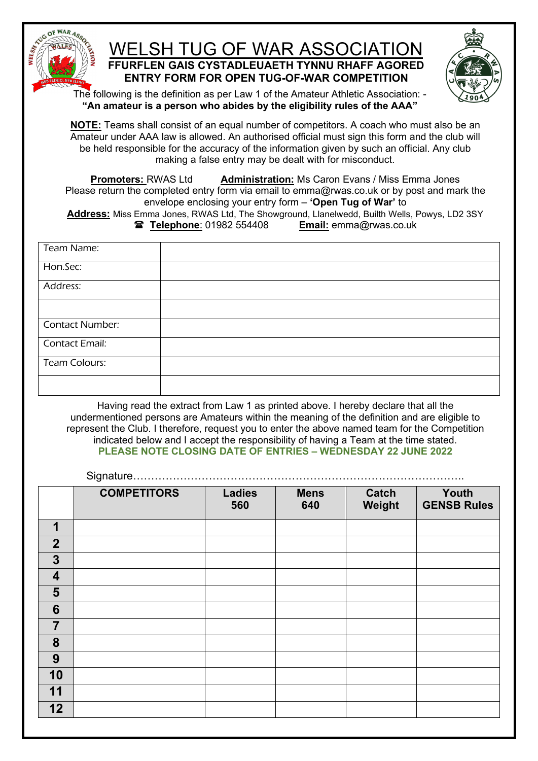

## WELSH TUG OF WAR ASSOCIATION **FFURFLEN GAIS CYSTADLEUAETH TYNNU RHAFF AGORED ENTRY FORM FOR OPEN TUG-OF-WAR COMPETITION**



The following is the definition as per Law 1 of the Amateur Athletic Association: - **"An amateur is a person who abides by the eligibility rules of the AAA"**

**NOTE:** Teams shall consist of an equal number of competitors. A coach who must also be an Amateur under AAA law is allowed. An authorised official must sign this form and the club will be held responsible for the accuracy of the information given by such an official. Any club making a false entry may be dealt with for misconduct.

**Promoters:** RWAS Ltd **Administration:** Ms Caron Evans / Miss Emma Jones Please return the completed entry form via email to emma@rwas.co.uk or by post and mark the envelope enclosing your entry form – **'Open Tug of War'** to Address: Miss Emma Jones, RWAS Ltd, The Showground, Llanelwedd, Builth Wells, Powys, LD2 3SY<br> **Andress:** Miss Emma @Telephone: 01982 554408<br> **Email:** emma @Twas.co.uk **Telephone**: 01982 554408

| Team Name:             |  |
|------------------------|--|
| Hon.Sec:               |  |
| Address:               |  |
|                        |  |
| <b>Contact Number:</b> |  |
| Contact Email:         |  |
| Team Colours:          |  |
|                        |  |

Having read the extract from Law 1 as printed above. I hereby declare that all the undermentioned persons are Amateurs within the meaning of the definition and are eligible to represent the Club. I therefore, request you to enter the above named team for the Competition indicated below and I accept the responsibility of having a Team at the time stated. **PLEASE NOTE CLOSING DATE OF ENTRIES – WEDNESDAY 22 JUNE 2022**

Signature………………………………………………………………………………..

|                         | <b>COMPETITORS</b> | <b>Ladies</b><br>560 | <b>Mens</b><br>640 | <b>Catch</b><br>Weight | Youth<br><b>GENSB Rules</b> |
|-------------------------|--------------------|----------------------|--------------------|------------------------|-----------------------------|
| $\overline{\mathbf{1}}$ |                    |                      |                    |                        |                             |
| $\overline{2}$          |                    |                      |                    |                        |                             |
| $\mathbf{3}$            |                    |                      |                    |                        |                             |
| $\overline{\mathbf{4}}$ |                    |                      |                    |                        |                             |
| 5                       |                    |                      |                    |                        |                             |
| $6\phantom{1}6$         |                    |                      |                    |                        |                             |
| $\overline{7}$          |                    |                      |                    |                        |                             |
| 8                       |                    |                      |                    |                        |                             |
| 9                       |                    |                      |                    |                        |                             |
| 10                      |                    |                      |                    |                        |                             |
| 11                      |                    |                      |                    |                        |                             |
| 12                      |                    |                      |                    |                        |                             |